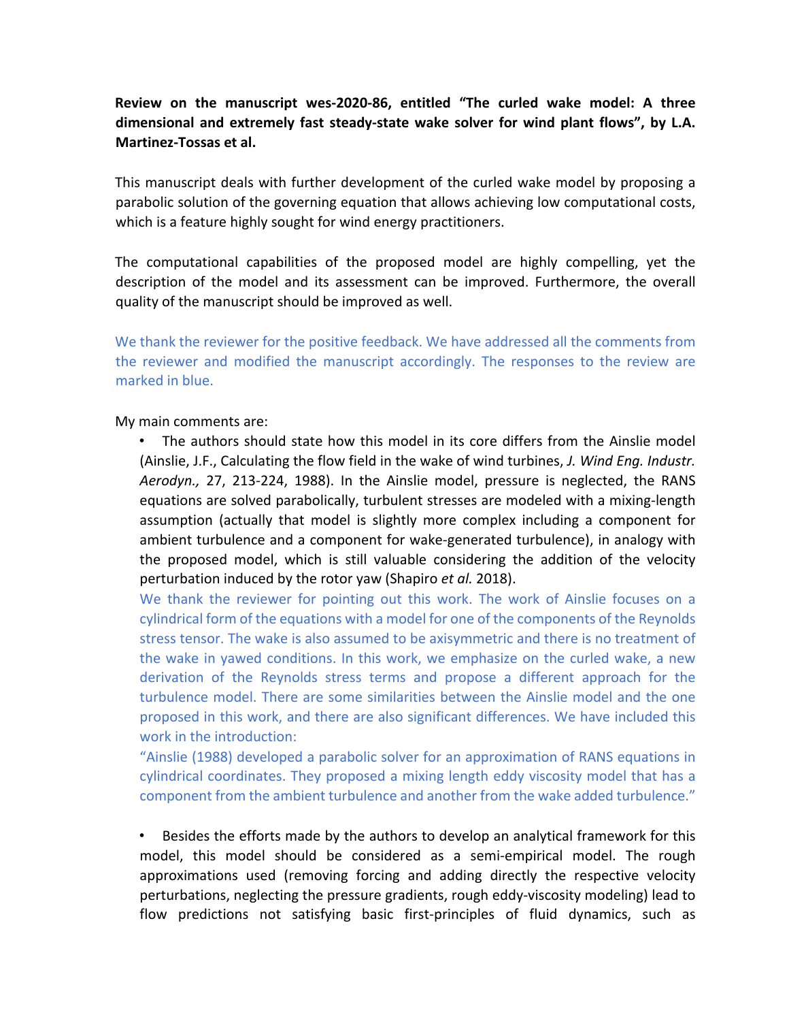# **Review on the manuscript wes-2020-86, entitled "The curled wake model: A three dimensional and extremely fast steady-state wake solver for wind plant flows", by L.A. Martinez-Tossas et al.**

This manuscript deals with further development of the curled wake model by proposing a parabolic solution of the governing equation that allows achieving low computational costs, which is a feature highly sought for wind energy practitioners.

The computational capabilities of the proposed model are highly compelling, yet the description of the model and its assessment can be improved. Furthermore, the overall quality of the manuscript should be improved as well.

We thank the reviewer for the positive feedback. We have addressed all the comments from the reviewer and modified the manuscript accordingly. The responses to the review are marked in blue.

My main comments are:

• The authors should state how this model in its core differs from the Ainslie model (Ainslie, J.F., Calculating the flow field in the wake of wind turbines, *J. Wind Eng. Industr. Aerodyn.,* 27, 213-224, 1988). In the Ainslie model, pressure is neglected, the RANS equations are solved parabolically, turbulent stresses are modeled with a mixing-length assumption (actually that model is slightly more complex including a component for ambient turbulence and a component for wake-generated turbulence), in analogy with the proposed model, which is still valuable considering the addition of the velocity perturbation induced by the rotor yaw (Shapiro *et al.* 2018).

We thank the reviewer for pointing out this work. The work of Ainslie focuses on a cylindrical form of the equations with a model for one of the components of the Reynolds stress tensor. The wake is also assumed to be axisymmetric and there is no treatment of the wake in yawed conditions. In this work, we emphasize on the curled wake, a new derivation of the Reynolds stress terms and propose a different approach for the turbulence model. There are some similarities between the Ainslie model and the one proposed in this work, and there are also significant differences. We have included this work in the introduction:

"Ainslie (1988) developed a parabolic solver for an approximation of RANS equations in cylindrical coordinates. They proposed a mixing length eddy viscosity model that has a component from the ambient turbulence and another from the wake added turbulence."

• Besides the efforts made by the authors to develop an analytical framework for this model, this model should be considered as a semi-empirical model. The rough approximations used (removing forcing and adding directly the respective velocity perturbations, neglecting the pressure gradients, rough eddy-viscosity modeling) lead to flow predictions not satisfying basic first-principles of fluid dynamics, such as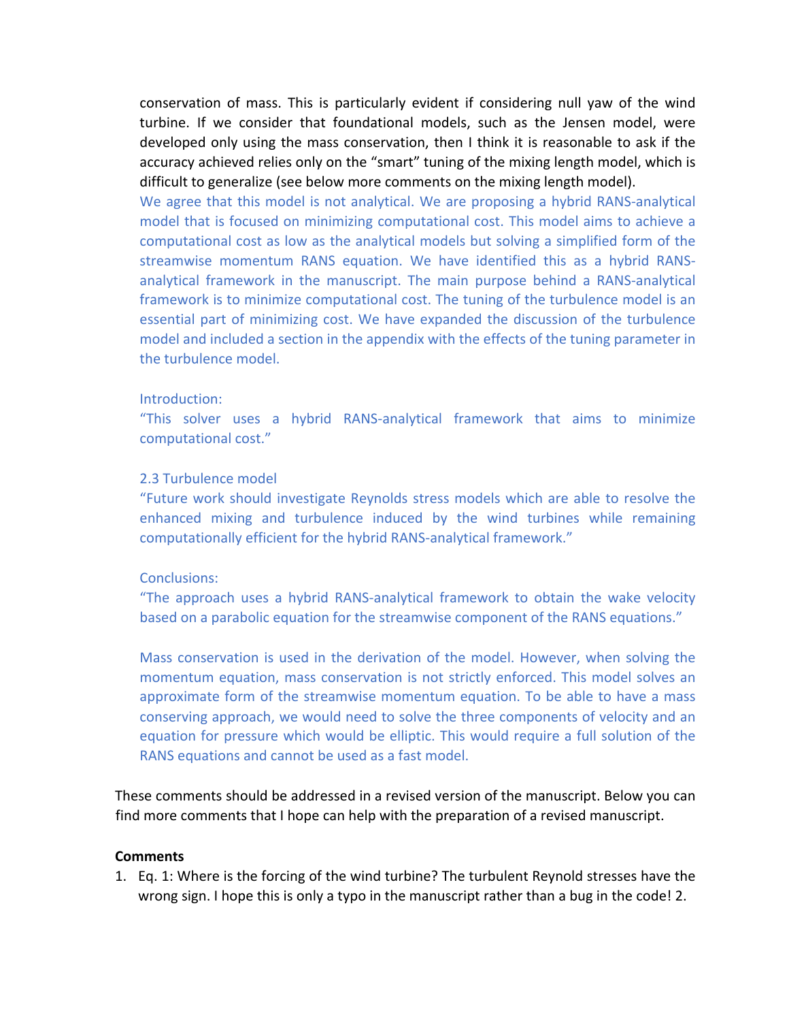conservation of mass. This is particularly evident if considering null yaw of the wind turbine. If we consider that foundational models, such as the Jensen model, were developed only using the mass conservation, then I think it is reasonable to ask if the accuracy achieved relies only on the "smart" tuning of the mixing length model, which is difficult to generalize (see below more comments on the mixing length model).

We agree that this model is not analytical. We are proposing a hybrid RANS-analytical model that is focused on minimizing computational cost. This model aims to achieve a computational cost as low as the analytical models but solving a simplified form of the streamwise momentum RANS equation. We have identified this as a hybrid RANSanalytical framework in the manuscript. The main purpose behind a RANS-analytical framework is to minimize computational cost. The tuning of the turbulence model is an essential part of minimizing cost. We have expanded the discussion of the turbulence model and included a section in the appendix with the effects of the tuning parameter in the turbulence model.

#### Introduction:

"This solver uses a hybrid RANS-analytical framework that aims to minimize computational cost."

### 2.3 Turbulence model

"Future work should investigate Reynolds stress models which are able to resolve the enhanced mixing and turbulence induced by the wind turbines while remaining computationally efficient for the hybrid RANS-analytical framework."

#### Conclusions:

"The approach uses a hybrid RANS-analytical framework to obtain the wake velocity based on a parabolic equation for the streamwise component of the RANS equations."

Mass conservation is used in the derivation of the model. However, when solving the momentum equation, mass conservation is not strictly enforced. This model solves an approximate form of the streamwise momentum equation. To be able to have a mass conserving approach, we would need to solve the three components of velocity and an equation for pressure which would be elliptic. This would require a full solution of the RANS equations and cannot be used as a fast model.

These comments should be addressed in a revised version of the manuscript. Below you can find more comments that I hope can help with the preparation of a revised manuscript.

#### **Comments**

1. Eq. 1: Where is the forcing of the wind turbine? The turbulent Reynold stresses have the wrong sign. I hope this is only a typo in the manuscript rather than a bug in the code! 2.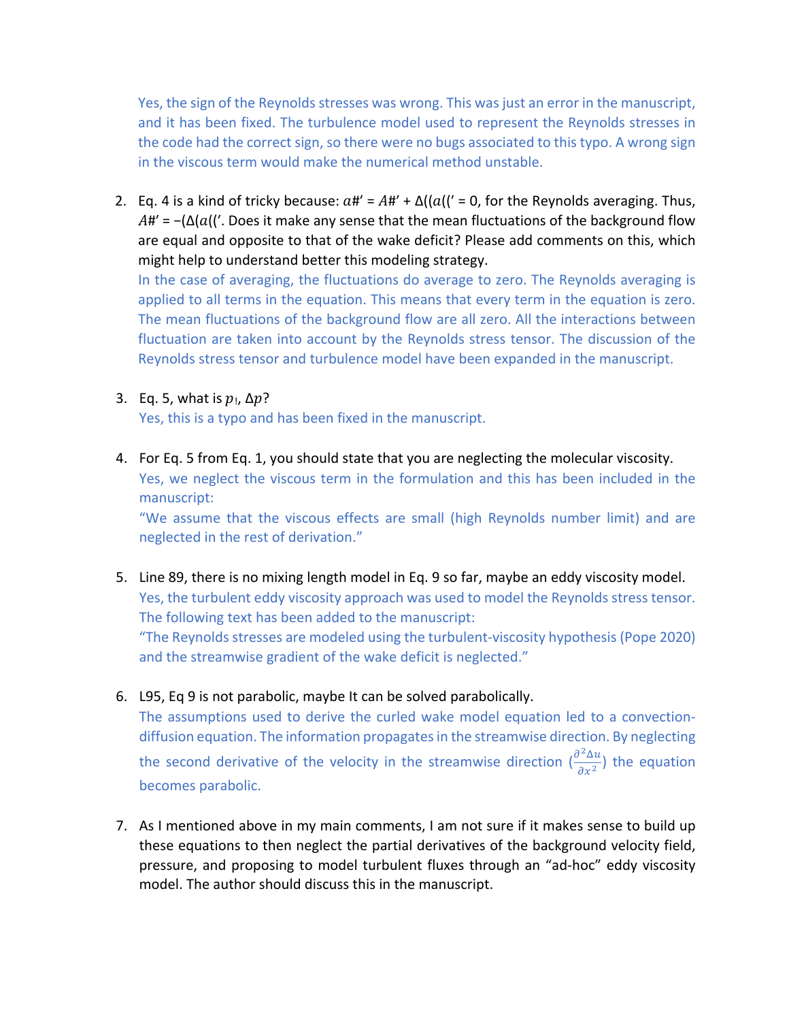Yes, the sign of the Reynolds stresses was wrong. This was just an error in the manuscript, and it has been fixed. The turbulence model used to represent the Reynolds stresses in the code had the correct sign, so there were no bugs associated to this typo. A wrong sign in the viscous term would make the numerical method unstable.

2. Eq. 4 is a kind of tricky because:  $a# = A# + \Delta((a)(x = 0, \text{ for the Reynolds averaging. Thus,})$  $A#′ = -(\Delta(a)|′$ . Does it make any sense that the mean fluctuations of the background flow are equal and opposite to that of the wake deficit? Please add comments on this, which might help to understand better this modeling strategy.

In the case of averaging, the fluctuations do average to zero. The Reynolds averaging is applied to all terms in the equation. This means that every term in the equation is zero. The mean fluctuations of the background flow are all zero. All the interactions between fluctuation are taken into account by the Reynolds stress tensor. The discussion of the Reynolds stress tensor and turbulence model have been expanded in the manuscript.

3. Eq. 5, what is  $p_1$ ,  $\Delta p$ ?

Yes, this is a typo and has been fixed in the manuscript.

4. For Eq. 5 from Eq. 1, you should state that you are neglecting the molecular viscosity. Yes, we neglect the viscous term in the formulation and this has been included in the manuscript:

"We assume that the viscous effects are small (high Reynolds number limit) and are neglected in the rest of derivation."

- 5. Line 89, there is no mixing length model in Eq. 9 so far, maybe an eddy viscosity model. Yes, the turbulent eddy viscosity approach was used to model the Reynolds stress tensor. The following text has been added to the manuscript: "The Reynolds stresses are modeled using the turbulent-viscosity hypothesis (Pope 2020) and the streamwise gradient of the wake deficit is neglected."
- 6. L95, Eq 9 is not parabolic, maybe It can be solved parabolically.

The assumptions used to derive the curled wake model equation led to a convectiondiffusion equation. The information propagates in the streamwise direction. By neglecting the second derivative of the velocity in the streamwise direction  $(\frac{\partial^2 \Delta u}{\partial x^2})$  the equation becomes parabolic.

7. As I mentioned above in my main comments, I am not sure if it makes sense to build up these equations to then neglect the partial derivatives of the background velocity field, pressure, and proposing to model turbulent fluxes through an "ad-hoc" eddy viscosity model. The author should discuss this in the manuscript.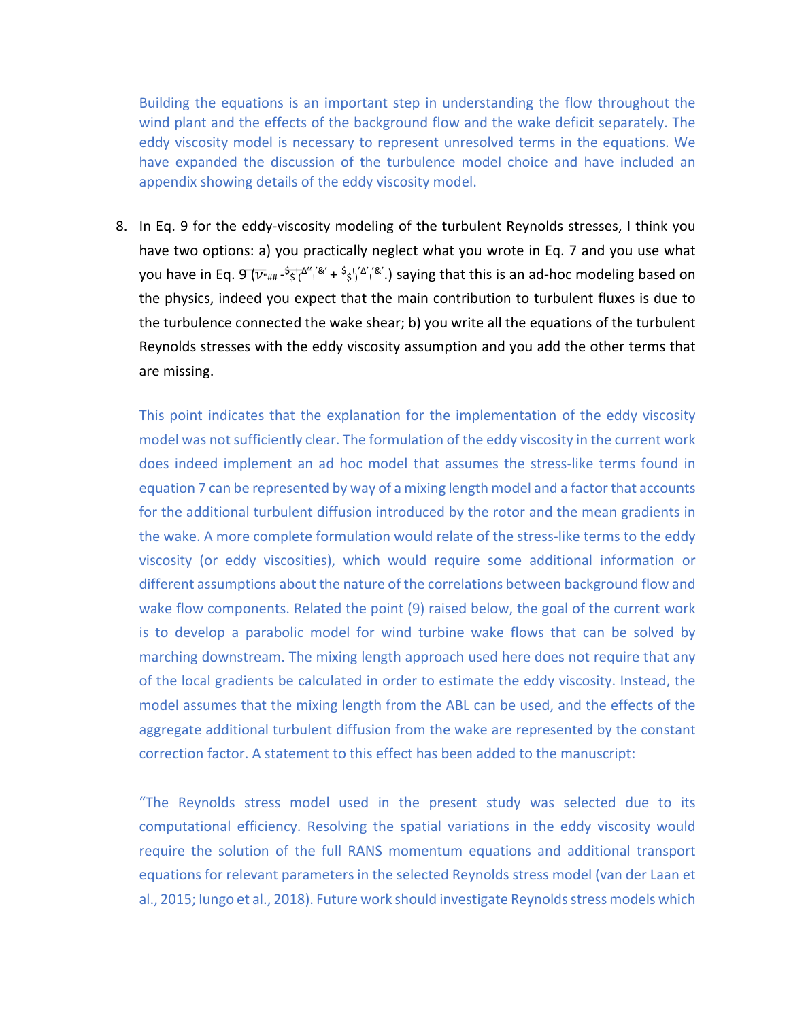Building the equations is an important step in understanding the flow throughout the wind plant and the effects of the background flow and the wake deficit separately. The eddy viscosity model is necessary to represent unresolved terms in the equations. We have expanded the discussion of the turbulence model choice and have included an appendix showing details of the eddy viscosity model.

8. In Eq. 9 for the eddy-viscosity modeling of the turbulent Reynolds stresses, I think you have two options: a) you practically neglect what you wrote in Eq. 7 and you use what you have in Eq. 9 ("## - \$ \$ ! ( ∆'' ! '&' + \$ \$ ! ) '∆' ! '&'.) saying that this is an ad-hoc modeling based on the physics, indeed you expect that the main contribution to turbulent fluxes is due to the turbulence connected the wake shear; b) you write all the equations of the turbulent Reynolds stresses with the eddy viscosity assumption and you add the other terms that are missing.

This point indicates that the explanation for the implementation of the eddy viscosity model was not sufficiently clear. The formulation of the eddy viscosity in the current work does indeed implement an ad hoc model that assumes the stress-like terms found in equation 7 can be represented by way of a mixing length model and a factor that accounts for the additional turbulent diffusion introduced by the rotor and the mean gradients in the wake. A more complete formulation would relate of the stress-like terms to the eddy viscosity (or eddy viscosities), which would require some additional information or different assumptions about the nature of the correlations between background flow and wake flow components. Related the point (9) raised below, the goal of the current work is to develop a parabolic model for wind turbine wake flows that can be solved by marching downstream. The mixing length approach used here does not require that any of the local gradients be calculated in order to estimate the eddy viscosity. Instead, the model assumes that the mixing length from the ABL can be used, and the effects of the aggregate additional turbulent diffusion from the wake are represented by the constant correction factor. A statement to this effect has been added to the manuscript:

"The Reynolds stress model used in the present study was selected due to its computational efficiency. Resolving the spatial variations in the eddy viscosity would require the solution of the full RANS momentum equations and additional transport equations for relevant parameters in the selected Reynolds stress model (van der Laan et al., 2015; Iungo et al., 2018). Future work should investigate Reynolds stress models which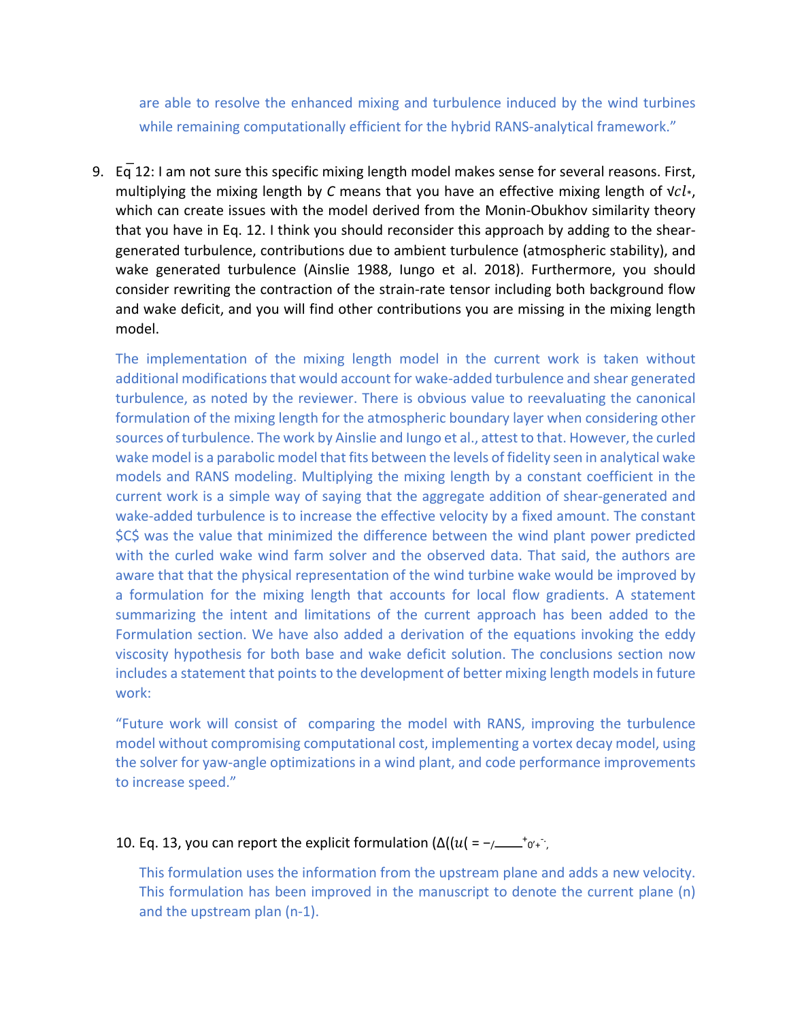are able to resolve the enhanced mixing and turbulence induced by the wind turbines while remaining computationally efficient for the hybrid RANS-analytical framework."

9.  $Eq$  12: I am not sure this specific mixing length model makes sense for several reasons. First, multiplying the mixing length by *C* means that you have an effective mixing length of v*cl*<sup>\*</sup>, which can create issues with the model derived from the Monin-Obukhov similarity theory that you have in Eq. 12. I think you should reconsider this approach by adding to the sheargenerated turbulence, contributions due to ambient turbulence (atmospheric stability), and wake generated turbulence (Ainslie 1988, Iungo et al. 2018). Furthermore, you should consider rewriting the contraction of the strain-rate tensor including both background flow and wake deficit, and you will find other contributions you are missing in the mixing length model.

The implementation of the mixing length model in the current work is taken without additional modifications that would account for wake-added turbulence and shear generated turbulence, as noted by the reviewer. There is obvious value to reevaluating the canonical formulation of the mixing length for the atmospheric boundary layer when considering other sources of turbulence. The work by Ainslie and Iungo et al., attest to that. However, the curled wake model is a parabolic model that fits between the levels of fidelity seen in analytical wake models and RANS modeling. Multiplying the mixing length by a constant coefficient in the current work is a simple way of saying that the aggregate addition of shear-generated and wake-added turbulence is to increase the effective velocity by a fixed amount. The constant \$C\$ was the value that minimized the difference between the wind plant power predicted with the curled wake wind farm solver and the observed data. That said, the authors are aware that that the physical representation of the wind turbine wake would be improved by a formulation for the mixing length that accounts for local flow gradients. A statement summarizing the intent and limitations of the current approach has been added to the Formulation section. We have also added a derivation of the equations invoking the eddy viscosity hypothesis for both base and wake deficit solution. The conclusions section now includes a statement that points to the development of better mixing length models in future work:

"Future work will consist of comparing the model with RANS, improving the turbulence model without compromising computational cost, implementing a vortex decay model, using the solver for yaw-angle optimizations in a wind plant, and code performance improvements to increase speed."

## 10. Eq. 13, you can report the explicit formulation  $(\Delta((u(-)-\mu)^{-1})^{\text{+}})$

This formulation uses the information from the upstream plane and adds a new velocity. This formulation has been improved in the manuscript to denote the current plane (n) and the upstream plan (n-1).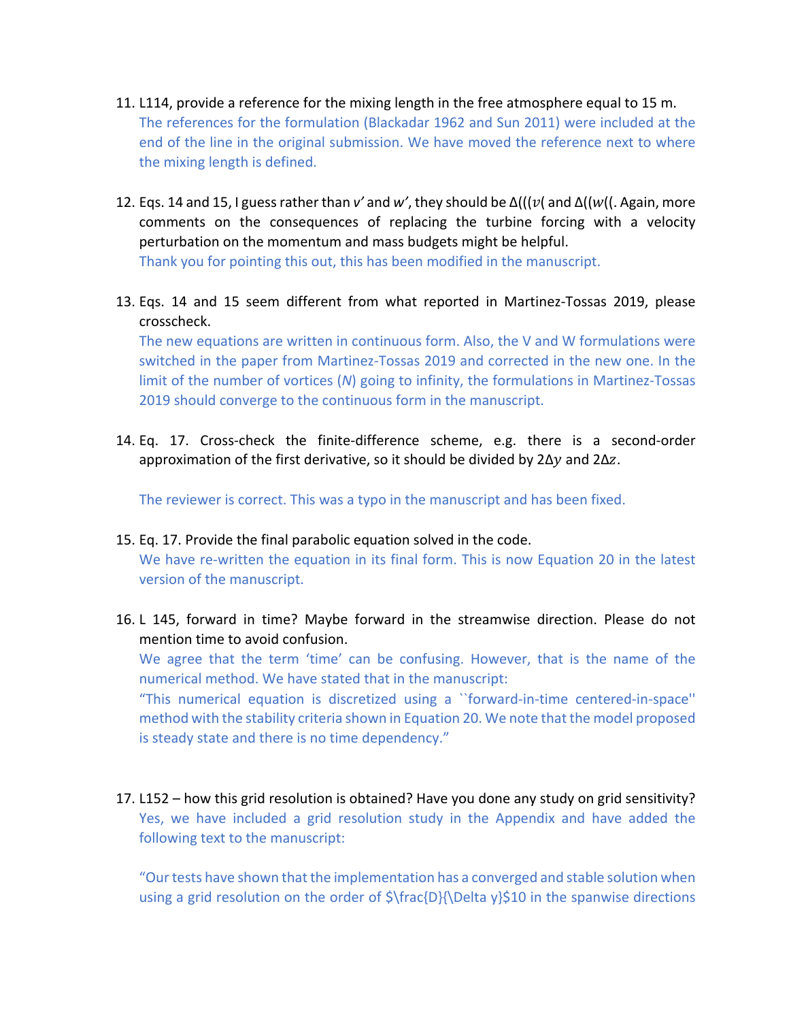- 11. L114, provide a reference for the mixing length in the free atmosphere equal to 15 m. The references for the formulation (Blackadar 1962 and Sun 2011) were included at the end of the line in the original submission. We have moved the reference next to where the mixing length is defined.
- 12. Eqs. 14 and 15, I guess rather than *v'* and *w'*, they should be  $\Delta((v($  and  $\Delta((w($ . Again, more comments on the consequences of replacing the turbine forcing with a velocity perturbation on the momentum and mass budgets might be helpful. Thank you for pointing this out, this has been modified in the manuscript.
- 13. Eqs. 14 and 15 seem different from what reported in Martinez-Tossas 2019, please crosscheck.

The new equations are written in continuous form. Also, the V and W formulations were switched in the paper from Martinez-Tossas 2019 and corrected in the new one. In the limit of the number of vortices (*N*) going to infinity, the formulations in Martinez-Tossas 2019 should converge to the continuous form in the manuscript.

14. Eq. 17. Cross-check the finite-difference scheme, e.g. there is a second-order approximation of the first derivative, so it should be divided by 2∆y and 2∆z.

The reviewer is correct. This was a typo in the manuscript and has been fixed.

- 15. Eq. 17. Provide the final parabolic equation solved in the code. We have re-written the equation in its final form. This is now Equation 20 in the latest version of the manuscript.
- 16. L 145, forward in time? Maybe forward in the streamwise direction. Please do not mention time to avoid confusion.

We agree that the term 'time' can be confusing. However, that is the name of the numerical method. We have stated that in the manuscript:

"This numerical equation is discretized using a ``forward-in-time centered-in-space'' method with the stability criteria shown in Equation 20. We note that the model proposed is steady state and there is no time dependency."

17. L152 – how this grid resolution is obtained? Have you done any study on grid sensitivity? Yes, we have included a grid resolution study in the Appendix and have added the following text to the manuscript:

"Our tests have shown that the implementation has a converged and stable solution when using a grid resolution on the order of  $\frac{D}{\Delta y}$ . Delta y}\$10 in the spanwise directions